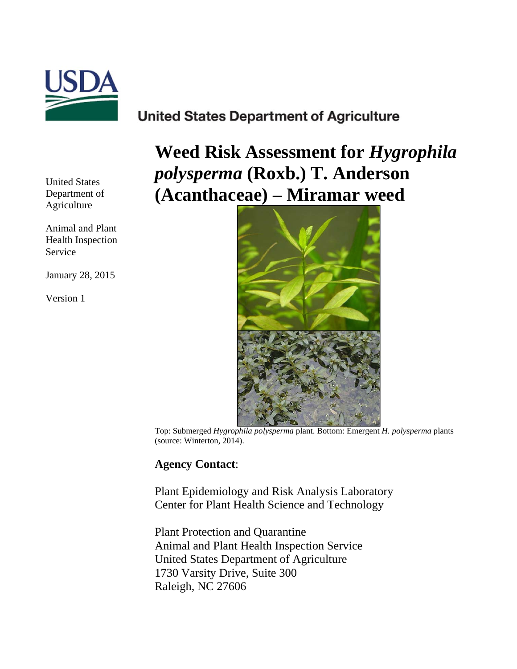

# **United States Department of Agriculture**

United States Department of Agriculture

Animal and Plant Health Inspection Service

January 28, 2015

Version 1

**Weed Risk Assessment for** *Hygrophila polysperma* **(Roxb.) T. Anderson (Acanthaceae) – Miramar weed**



Top: Submerged *Hygrophila polysperma* plant. Bottom: Emergent *H. polysperma* plants (source: Winterton, 2014).

# **Agency Contact**:

Plant Epidemiology and Risk Analysis Laboratory Center for Plant Health Science and Technology

Plant Protection and Quarantine Animal and Plant Health Inspection Service United States Department of Agriculture 1730 Varsity Drive, Suite 300 Raleigh, NC 27606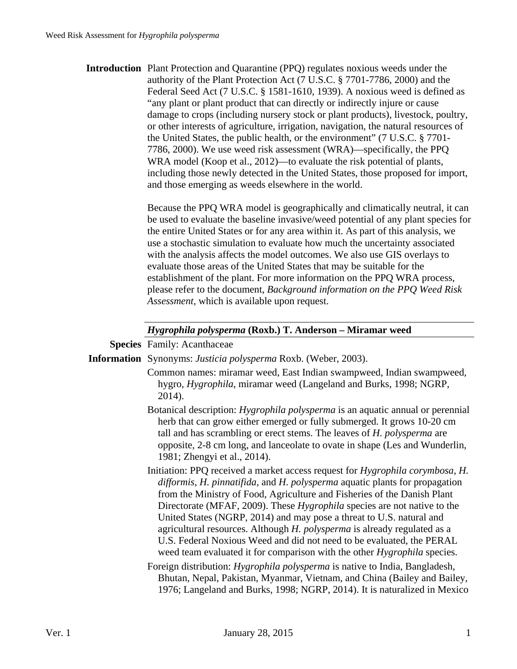**Introduction** Plant Protection and Quarantine (PPQ) regulates noxious weeds under the authority of the Plant Protection Act (7 U.S.C. § 7701-7786, 2000) and the Federal Seed Act (7 U.S.C. § 1581-1610, 1939). A noxious weed is defined as "any plant or plant product that can directly or indirectly injure or cause damage to crops (including nursery stock or plant products), livestock, poultry, or other interests of agriculture, irrigation, navigation, the natural resources of the United States, the public health, or the environment" (7 U.S.C. § 7701- 7786, 2000). We use weed risk assessment (WRA)—specifically, the PPQ WRA model (Koop et al., 2012)—to evaluate the risk potential of plants, including those newly detected in the United States, those proposed for import, and those emerging as weeds elsewhere in the world.

> Because the PPQ WRA model is geographically and climatically neutral, it can be used to evaluate the baseline invasive/weed potential of any plant species for the entire United States or for any area within it. As part of this analysis, we use a stochastic simulation to evaluate how much the uncertainty associated with the analysis affects the model outcomes. We also use GIS overlays to evaluate those areas of the United States that may be suitable for the establishment of the plant. For more information on the PPQ WRA process, please refer to the document, *Background information on the PPQ Weed Risk Assessment*, which is available upon request.

#### *Hygrophila polysperma* **(Roxb.) T. Anderson – Miramar weed**

**Species** Family: Acanthaceae

**Information** Synonyms: *Justicia polysperma* Roxb. (Weber, 2003).

- Common names: miramar weed, East Indian swampweed, Indian swampweed, hygro, *Hygrophila*, miramar weed (Langeland and Burks, 1998; NGRP, 2014).
- Botanical description: *Hygrophila polysperma* is an aquatic annual or perennial herb that can grow either emerged or fully submerged. It grows 10-20 cm tall and has scrambling or erect stems. The leaves of *H. polysperma* are opposite, 2-8 cm long, and lanceolate to ovate in shape (Les and Wunderlin, 1981; Zhengyi et al., 2014).
- Initiation: PPQ received a market access request for *Hygrophila corymbosa*, *H. difformis*, *H. pinnatifida*, and *H. polysperma* aquatic plants for propagation from the Ministry of Food, Agriculture and Fisheries of the Danish Plant Directorate (MFAF, 2009). These *Hygrophila* species are not native to the United States (NGRP, 2014) and may pose a threat to U.S. natural and agricultural resources. Although *H. polysperma* is already regulated as a U.S. Federal Noxious Weed and did not need to be evaluated, the PERAL weed team evaluated it for comparison with the other *Hygrophila* species.
- Foreign distribution: *Hygrophila polysperma* is native to India, Bangladesh, Bhutan, Nepal, Pakistan, Myanmar, Vietnam, and China (Bailey and Bailey, 1976; Langeland and Burks, 1998; NGRP, 2014). It is naturalized in Mexico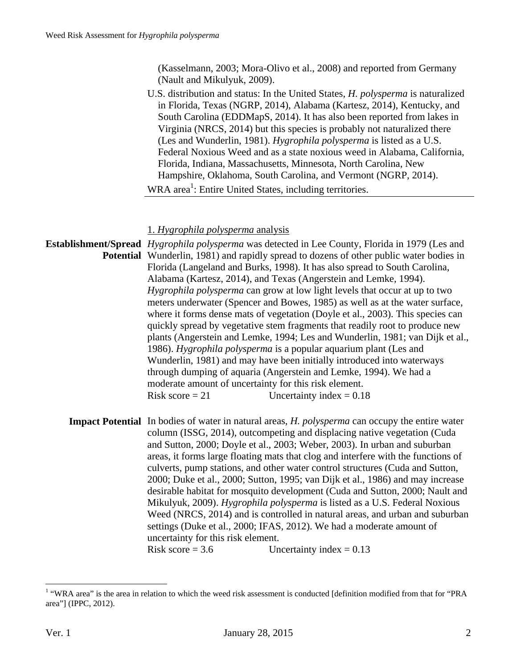(Kasselmann, 2003; Mora-Olivo et al., 2008) and reported from Germany (Nault and Mikulyuk, 2009).

 U.S. distribution and status: In the United States, *H. polysperma* is naturalized in Florida, Texas (NGRP, 2014), Alabama (Kartesz, 2014), Kentucky, and South Carolina (EDDMapS, 2014). It has also been reported from lakes in Virginia (NRCS, 2014) but this species is probably not naturalized there (Les and Wunderlin, 1981). *Hygrophila polysperma* is listed as a U.S. Federal Noxious Weed and as a state noxious weed in Alabama, California, Florida, Indiana, Massachusetts, Minnesota, North Carolina, New Hampshire, Oklahoma, South Carolina, and Vermont (NGRP, 2014). WRA area<sup>1</sup>: Entire United States, including territories.

1. *Hygrophila polysperma* analysis

**Establishment/Spread**  *Hygrophila polysperma* was detected in Lee County, Florida in 1979 (Les and Potential Wunderlin, 1981) and rapidly spread to dozens of other public water bodies in Florida (Langeland and Burks, 1998). It has also spread to South Carolina, Alabama (Kartesz, 2014), and Texas (Angerstein and Lemke, 1994). *Hygrophila polysperma* can grow at low light levels that occur at up to two meters underwater (Spencer and Bowes, 1985) as well as at the water surface, where it forms dense mats of vegetation (Doyle et al., 2003). This species can quickly spread by vegetative stem fragments that readily root to produce new plants (Angerstein and Lemke, 1994; Les and Wunderlin, 1981; van Dijk et al., 1986). *Hygrophila polysperma* is a popular aquarium plant (Les and Wunderlin, 1981) and may have been initially introduced into waterways through dumping of aquaria (Angerstein and Lemke, 1994). We had a moderate amount of uncertainty for this risk element. Risk score  $= 21$  Uncertainty index  $= 0.18$ **Impact Potential** In bodies of water in natural areas, *H. polysperma* can occupy the entire water column (ISSG, 2014), outcompeting and displacing native vegetation (Cuda and Sutton, 2000; Doyle et al., 2003; Weber, 2003). In urban and suburban areas, it forms large floating mats that clog and interfere with the functions of culverts, pump stations, and other water control structures (Cuda and Sutton, 2000; Duke et al., 2000; Sutton, 1995; van Dijk et al., 1986) and may increase desirable habitat for mosquito development (Cuda and Sutton, 2000; Nault and Mikulyuk, 2009). *Hygrophila polysperma* is listed as a U.S. Federal Noxious Weed (NRCS, 2014) and is controlled in natural areas, and urban and suburban

> uncertainty for this risk element. Risk score =  $3.6$  Uncertainty index =  $0.13$

settings (Duke et al., 2000; IFAS, 2012). We had a moderate amount of

 1 "WRA area" is the area in relation to which the weed risk assessment is conducted [definition modified from that for "PRA area"] (IPPC, 2012).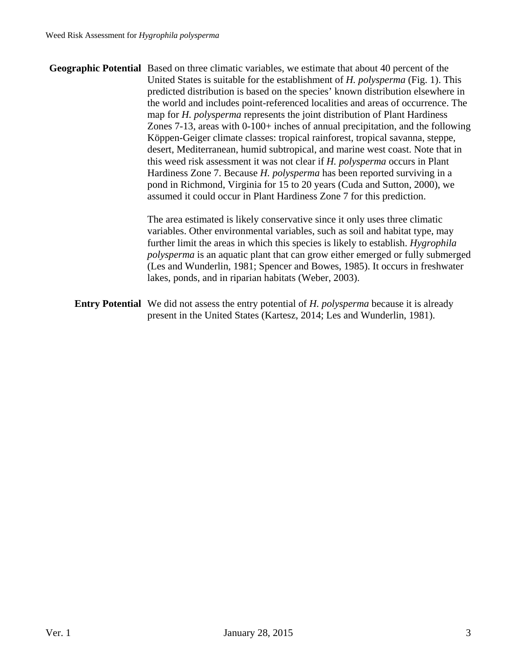**Geographic Potential** Based on three climatic variables, we estimate that about 40 percent of the United States is suitable for the establishment of *H. polysperma* (Fig. 1). This predicted distribution is based on the species' known distribution elsewhere in the world and includes point-referenced localities and areas of occurrence. The map for *H. polysperma* represents the joint distribution of Plant Hardiness Zones 7-13, areas with 0-100+ inches of annual precipitation, and the following Köppen-Geiger climate classes: tropical rainforest, tropical savanna, steppe, desert, Mediterranean, humid subtropical, and marine west coast. Note that in this weed risk assessment it was not clear if *H. polysperma* occurs in Plant Hardiness Zone 7. Because *H. polysperma* has been reported surviving in a pond in Richmond, Virginia for 15 to 20 years (Cuda and Sutton, 2000), we assumed it could occur in Plant Hardiness Zone 7 for this prediction.

> The area estimated is likely conservative since it only uses three climatic variables. Other environmental variables, such as soil and habitat type, may further limit the areas in which this species is likely to establish. *Hygrophila polysperma* is an aquatic plant that can grow either emerged or fully submerged (Les and Wunderlin, 1981; Spencer and Bowes, 1985). It occurs in freshwater lakes, ponds, and in riparian habitats (Weber, 2003).

**Entry Potential** We did not assess the entry potential of *H. polysperma* because it is already present in the United States (Kartesz, 2014; Les and Wunderlin, 1981).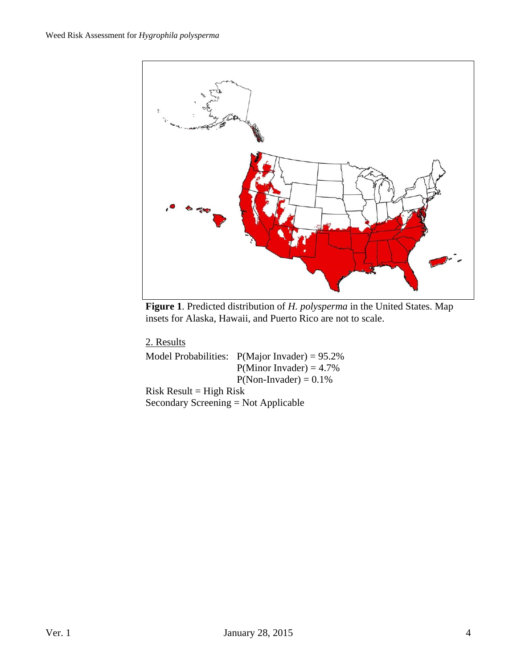

**Figure 1**. Predicted distribution of *H. polysperma* in the United States. Map insets for Alaska, Hawaii, and Puerto Rico are not to scale.

2. Results

Model Probabilities: P(Major Invader) = 95.2%  $P(Minor Invader) = 4.7%$  $P(Non- Invader) = 0.1\%$  $Risk Result = High Risk$ 

Secondary Screening = Not Applicable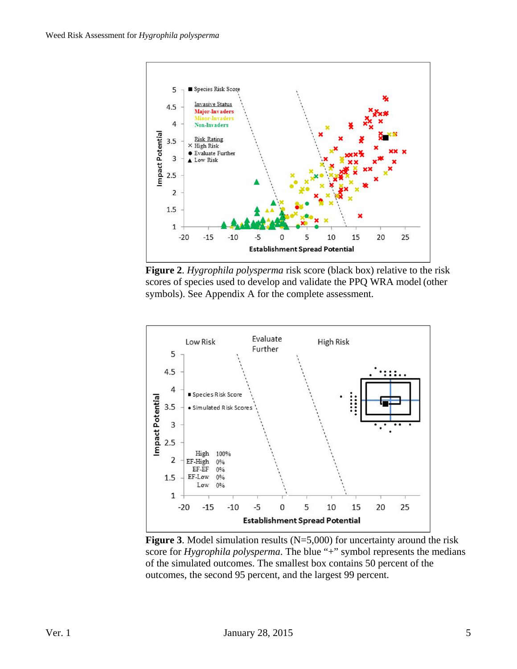

**Figure 2**. *Hygrophila polysperma* risk score (black box) relative to the risk scores of species used to develop and validate the PPQ WRA model (other symbols). See Appendix A for the complete assessment.



**Figure 3**. Model simulation results (N=5,000) for uncertainty around the risk score for *Hygrophila polysperma*. The blue "+" symbol represents the medians of the simulated outcomes. The smallest box contains 50 percent of the outcomes, the second 95 percent, and the largest 99 percent.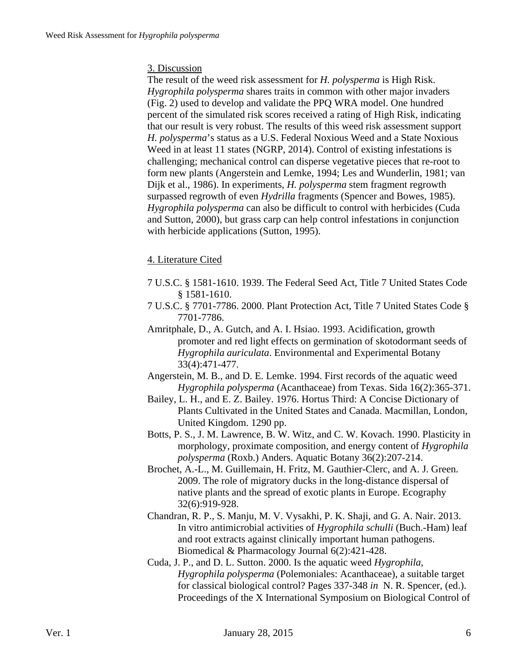### 3. Discussion

The result of the weed risk assessment for *H. polysperma* is High Risk. *Hygrophila polysperma* shares traits in common with other major invaders (Fig. 2) used to develop and validate the PPQ WRA model. One hundred percent of the simulated risk scores received a rating of High Risk, indicating that our result is very robust. The results of this weed risk assessment support *H. polysperma*'s status as a U.S. Federal Noxious Weed and a State Noxious Weed in at least 11 states (NGRP, 2014). Control of existing infestations is challenging; mechanical control can disperse vegetative pieces that re-root to form new plants (Angerstein and Lemke, 1994; Les and Wunderlin, 1981; van Dijk et al., 1986). In experiments, *H. polysperma* stem fragment regrowth surpassed regrowth of even *Hydrilla* fragments (Spencer and Bowes, 1985). *Hygrophila polysperma* can also be difficult to control with herbicides (Cuda and Sutton, 2000), but grass carp can help control infestations in conjunction with herbicide applications (Sutton, 1995).

## 4. Literature Cited

- 7 U.S.C. § 1581-1610. 1939. The Federal Seed Act, Title 7 United States Code § 1581-1610.
- 7 U.S.C. § 7701-7786. 2000. Plant Protection Act, Title 7 United States Code § 7701-7786.
- Amritphale, D., A. Gutch, and A. I. Hsiao. 1993. Acidification, growth promoter and red light effects on germination of skotodormant seeds of *Hygrophila auriculata*. Environmental and Experimental Botany 33(4):471-477.
- Angerstein, M. B., and D. E. Lemke. 1994. First records of the aquatic weed *Hygrophila polysperma* (Acanthaceae) from Texas. Sida 16(2):365-371.
- Bailey, L. H., and E. Z. Bailey. 1976. Hortus Third: A Concise Dictionary of Plants Cultivated in the United States and Canada. Macmillan, London, United Kingdom. 1290 pp.
- Botts, P. S., J. M. Lawrence, B. W. Witz, and C. W. Kovach. 1990. Plasticity in morphology, proximate composition, and energy content of *Hygrophila polysperma* (Roxb.) Anders. Aquatic Botany 36(2):207-214.
- Brochet, A.-L., M. Guillemain, H. Fritz, M. Gauthier-Clerc, and A. J. Green. 2009. The role of migratory ducks in the long-distance dispersal of native plants and the spread of exotic plants in Europe. Ecography 32(6):919-928.
- Chandran, R. P., S. Manju, M. V. Vysakhi, P. K. Shaji, and G. A. Nair. 2013. In vitro antimicrobial activities of *Hygrophila schulli* (Buch.-Ham) leaf and root extracts against clinically important human pathogens. Biomedical & Pharmacology Journal 6(2):421-428.
- Cuda, J. P., and D. L. Sutton. 2000. Is the aquatic weed *Hygrophila*, *Hygrophila polysperma* (Polemoniales: Acanthaceae), a suitable target for classical biological control? Pages 337-348 *in* N. R. Spencer, (ed.). Proceedings of the X International Symposium on Biological Control of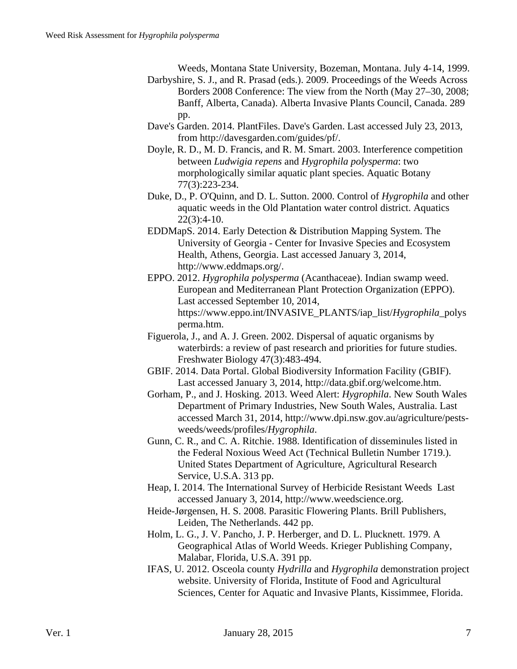Weeds, Montana State University, Bozeman, Montana. July 4-14, 1999.

- Darbyshire, S. J., and R. Prasad (eds.). 2009. Proceedings of the Weeds Across Borders 2008 Conference: The view from the North (May 27–30, 2008; Banff, Alberta, Canada). Alberta Invasive Plants Council, Canada. 289 pp.
- Dave's Garden. 2014. PlantFiles. Dave's Garden. Last accessed July 23, 2013, from http://davesgarden.com/guides/pf/.
- Doyle, R. D., M. D. Francis, and R. M. Smart. 2003. Interference competition between *Ludwigia repens* and *Hygrophila polysperma*: two morphologically similar aquatic plant species. Aquatic Botany 77(3):223-234.
- Duke, D., P. O'Quinn, and D. L. Sutton. 2000. Control of *Hygrophila* and other aquatic weeds in the Old Plantation water control district. Aquatics  $22(3):4-10.$
- EDDMapS. 2014. Early Detection & Distribution Mapping System. The University of Georgia - Center for Invasive Species and Ecosystem Health, Athens, Georgia. Last accessed January 3, 2014, http://www.eddmaps.org/.
- EPPO. 2012. *Hygrophila polysperma* (Acanthaceae). Indian swamp weed. European and Mediterranean Plant Protection Organization (EPPO). Last accessed September 10, 2014, https://www.eppo.int/INVASIVE\_PLANTS/iap\_list/*Hygrophila*\_polys perma.htm.
- Figuerola, J., and A. J. Green. 2002. Dispersal of aquatic organisms by waterbirds: a review of past research and priorities for future studies. Freshwater Biology 47(3):483-494.
- GBIF. 2014. Data Portal. Global Biodiversity Information Facility (GBIF). Last accessed January 3, 2014, http://data.gbif.org/welcome.htm.
- Gorham, P., and J. Hosking. 2013. Weed Alert: *Hygrophila*. New South Wales Department of Primary Industries, New South Wales, Australia. Last accessed March 31, 2014, http://www.dpi.nsw.gov.au/agriculture/pestsweeds/weeds/profiles/*Hygrophila*.
- Gunn, C. R., and C. A. Ritchie. 1988. Identification of disseminules listed in the Federal Noxious Weed Act (Technical Bulletin Number 1719.). United States Department of Agriculture, Agricultural Research Service, U.S.A. 313 pp.
- Heap, I. 2014. The International Survey of Herbicide Resistant Weeds Last accessed January 3, 2014, http://www.weedscience.org.
- Heide-Jørgensen, H. S. 2008. Parasitic Flowering Plants. Brill Publishers, Leiden, The Netherlands. 442 pp.
- Holm, L. G., J. V. Pancho, J. P. Herberger, and D. L. Plucknett. 1979. A Geographical Atlas of World Weeds. Krieger Publishing Company, Malabar, Florida, U.S.A. 391 pp.
- IFAS, U. 2012. Osceola county *Hydrilla* and *Hygrophila* demonstration project website. University of Florida, Institute of Food and Agricultural Sciences, Center for Aquatic and Invasive Plants, Kissimmee, Florida.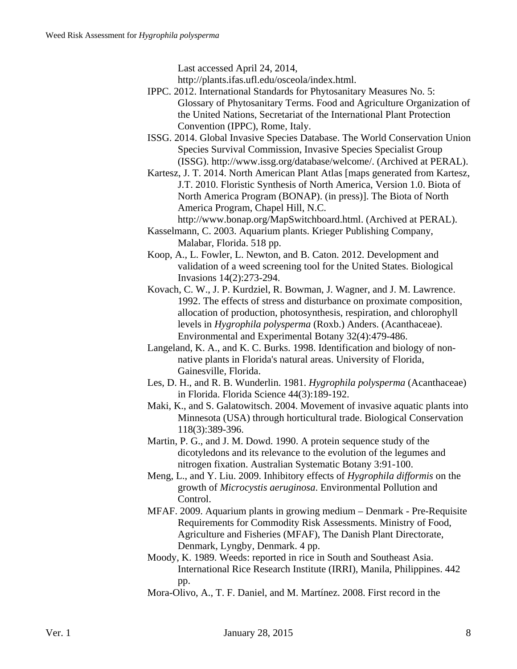Last accessed April 24, 2014,

http://plants.ifas.ufl.edu/osceola/index.html.

- IPPC. 2012. International Standards for Phytosanitary Measures No. 5: Glossary of Phytosanitary Terms. Food and Agriculture Organization of the United Nations, Secretariat of the International Plant Protection Convention (IPPC), Rome, Italy.
- ISSG. 2014. Global Invasive Species Database. The World Conservation Union Species Survival Commission, Invasive Species Specialist Group (ISSG). http://www.issg.org/database/welcome/. (Archived at PERAL).
- Kartesz, J. T. 2014. North American Plant Atlas [maps generated from Kartesz, J.T. 2010. Floristic Synthesis of North America, Version 1.0. Biota of North America Program (BONAP). (in press)]. The Biota of North America Program, Chapel Hill, N.C.
	- http://www.bonap.org/MapSwitchboard.html. (Archived at PERAL).
- Kasselmann, C. 2003. Aquarium plants. Krieger Publishing Company, Malabar, Florida. 518 pp.
- Koop, A., L. Fowler, L. Newton, and B. Caton. 2012. Development and validation of a weed screening tool for the United States. Biological Invasions 14(2):273-294.
- Kovach, C. W., J. P. Kurdziel, R. Bowman, J. Wagner, and J. M. Lawrence. 1992. The effects of stress and disturbance on proximate composition, allocation of production, photosynthesis, respiration, and chlorophyll levels in *Hygrophila polysperma* (Roxb.) Anders. (Acanthaceae). Environmental and Experimental Botany 32(4):479-486.
- Langeland, K. A., and K. C. Burks. 1998. Identification and biology of nonnative plants in Florida's natural areas. University of Florida, Gainesville, Florida.
- Les, D. H., and R. B. Wunderlin. 1981. *Hygrophila polysperma* (Acanthaceae) in Florida. Florida Science 44(3):189-192.
- Maki, K., and S. Galatowitsch. 2004. Movement of invasive aquatic plants into Minnesota (USA) through horticultural trade. Biological Conservation 118(3):389-396.
- Martin, P. G., and J. M. Dowd. 1990. A protein sequence study of the dicotyledons and its relevance to the evolution of the legumes and nitrogen fixation. Australian Systematic Botany 3:91-100.
- Meng, L., and Y. Liu. 2009. Inhibitory effects of *Hygrophila difformis* on the growth of *Microcystis aeruginosa*. Environmental Pollution and Control.
- MFAF. 2009. Aquarium plants in growing medium Denmark Pre-Requisite Requirements for Commodity Risk Assessments. Ministry of Food, Agriculture and Fisheries (MFAF), The Danish Plant Directorate, Denmark, Lyngby, Denmark. 4 pp.
- Moody, K. 1989. Weeds: reported in rice in South and Southeast Asia. International Rice Research Institute (IRRI), Manila, Philippines. 442 pp.
- Mora-Olivo, A., T. F. Daniel, and M. Martínez. 2008. First record in the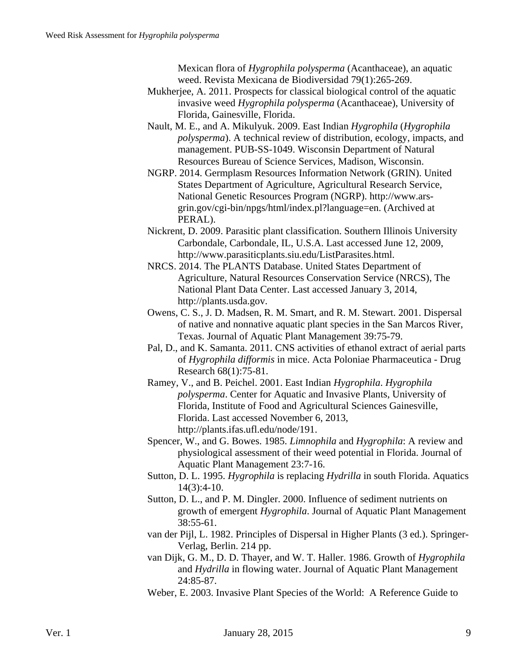Mexican flora of *Hygrophila polysperma* (Acanthaceae), an aquatic weed. Revista Mexicana de Biodiversidad 79(1):265-269.

- Mukherjee, A. 2011. Prospects for classical biological control of the aquatic invasive weed *Hygrophila polysperma* (Acanthaceae), University of Florida, Gainesville, Florida.
- Nault, M. E., and A. Mikulyuk. 2009. East Indian *Hygrophila* (*Hygrophila polysperma*). A technical review of distribution, ecology, impacts, and management. PUB-SS-1049. Wisconsin Department of Natural Resources Bureau of Science Services, Madison, Wisconsin.
- NGRP. 2014. Germplasm Resources Information Network (GRIN). United States Department of Agriculture, Agricultural Research Service, National Genetic Resources Program (NGRP). http://www.arsgrin.gov/cgi-bin/npgs/html/index.pl?language=en. (Archived at PERAL).
- Nickrent, D. 2009. Parasitic plant classification. Southern Illinois University Carbondale, Carbondale, IL, U.S.A. Last accessed June 12, 2009, http://www.parasiticplants.siu.edu/ListParasites.html.
- NRCS. 2014. The PLANTS Database. United States Department of Agriculture, Natural Resources Conservation Service (NRCS), The National Plant Data Center. Last accessed January 3, 2014, http://plants.usda.gov.
- Owens, C. S., J. D. Madsen, R. M. Smart, and R. M. Stewart. 2001. Dispersal of native and nonnative aquatic plant species in the San Marcos River, Texas. Journal of Aquatic Plant Management 39:75-79.
- Pal, D., and K. Samanta. 2011. CNS activities of ethanol extract of aerial parts of *Hygrophila difformis* in mice. Acta Poloniae Pharmaceutica - Drug Research 68(1):75-81.
- Ramey, V., and B. Peichel. 2001. East Indian *Hygrophila*. *Hygrophila polysperma*. Center for Aquatic and Invasive Plants, University of Florida, Institute of Food and Agricultural Sciences Gainesville, Florida. Last accessed November 6, 2013, http://plants.ifas.ufl.edu/node/191.
- Spencer, W., and G. Bowes. 1985. *Limnophila* and *Hygrophila*: A review and physiological assessment of their weed potential in Florida. Journal of Aquatic Plant Management 23:7-16.
- Sutton, D. L. 1995. *Hygrophila* is replacing *Hydrilla* in south Florida. Aquatics 14(3):4-10.
- Sutton, D. L., and P. M. Dingler. 2000. Influence of sediment nutrients on growth of emergent *Hygrophila*. Journal of Aquatic Plant Management 38:55-61.
- van der Pijl, L. 1982. Principles of Dispersal in Higher Plants (3 ed.). Springer-Verlag, Berlin. 214 pp.
- van Dijk, G. M., D. D. Thayer, and W. T. Haller. 1986. Growth of *Hygrophila* and *Hydrilla* in flowing water. Journal of Aquatic Plant Management 24:85-87.
- Weber, E. 2003. Invasive Plant Species of the World: A Reference Guide to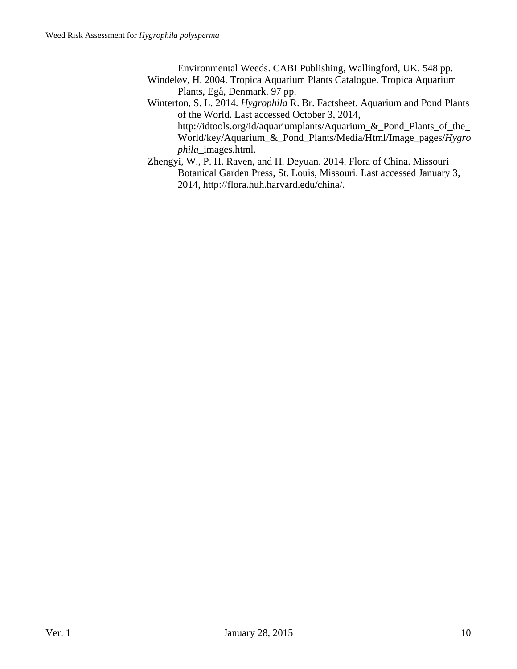Environmental Weeds. CABI Publishing, Wallingford, UK. 548 pp.

- Windeløv, H. 2004. Tropica Aquarium Plants Catalogue. Tropica Aquarium Plants, Egå, Denmark. 97 pp.
- Winterton, S. L. 2014. *Hygrophila* R. Br. Factsheet. Aquarium and Pond Plants of the World. Last accessed October 3, 2014, http://idtools.org/id/aquariumplants/Aquarium\_&\_Pond\_Plants\_of\_the\_ World/key/Aquarium\_&\_Pond\_Plants/Media/Html/Image\_pages/*Hygro phila*\_images.html.
- Zhengyi, W., P. H. Raven, and H. Deyuan. 2014. Flora of China. Missouri Botanical Garden Press, St. Louis, Missouri. Last accessed January 3, 2014, http://flora.huh.harvard.edu/china/.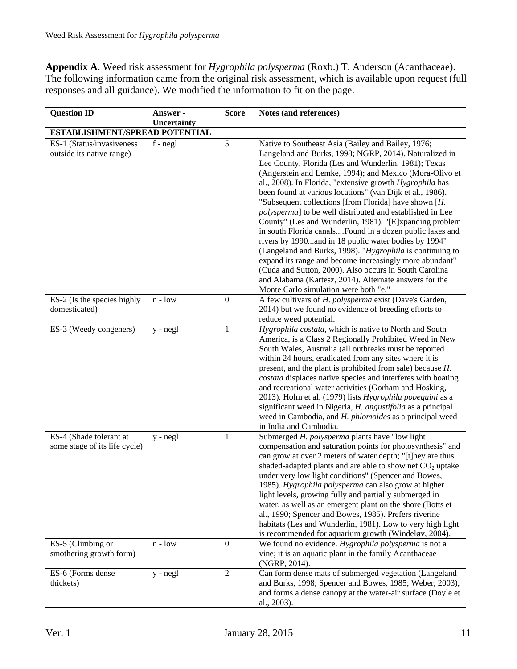**Appendix A**. Weed risk assessment for *Hygrophila polysperma* (Roxb.) T. Anderson (Acanthaceae). The following information came from the original risk assessment, which is available upon request (full responses and all guidance). We modified the information to fit on the page.

| <b>Question ID</b>                                       | Answer -    | <b>Score</b>     | Notes (and references)                                                                                                                                                                                                                                                                                                                                                                                                                                                                                                                                                                                                                                                                                                                                                                                                                                                                       |
|----------------------------------------------------------|-------------|------------------|----------------------------------------------------------------------------------------------------------------------------------------------------------------------------------------------------------------------------------------------------------------------------------------------------------------------------------------------------------------------------------------------------------------------------------------------------------------------------------------------------------------------------------------------------------------------------------------------------------------------------------------------------------------------------------------------------------------------------------------------------------------------------------------------------------------------------------------------------------------------------------------------|
| <b>ESTABLISHMENT/SPREAD POTENTIAL</b>                    | Uncertainty |                  |                                                                                                                                                                                                                                                                                                                                                                                                                                                                                                                                                                                                                                                                                                                                                                                                                                                                                              |
| ES-1 (Status/invasiveness                                | $f - negl$  | 5                | Native to Southeast Asia (Bailey and Bailey, 1976;                                                                                                                                                                                                                                                                                                                                                                                                                                                                                                                                                                                                                                                                                                                                                                                                                                           |
| outside its native range)                                |             |                  | Langeland and Burks, 1998; NGRP, 2014). Naturalized in<br>Lee County, Florida (Les and Wunderlin, 1981); Texas<br>(Angerstein and Lemke, 1994); and Mexico (Mora-Olivo et<br>al., 2008). In Florida, "extensive growth Hygrophila has<br>been found at various locations" (van Dijk et al., 1986).<br>"Subsequent collections [from Florida] have shown [H.<br>polysperma] to be well distributed and established in Lee<br>County" (Les and Wunderlin, 1981). "[E]xpanding problem<br>in south Florida canalsFound in a dozen public lakes and<br>rivers by 1990and in 18 public water bodies by 1994"<br>(Langeland and Burks, 1998). "Hygrophila is continuing to<br>expand its range and become increasingly more abundant"<br>(Cuda and Sutton, 2000). Also occurs in South Carolina<br>and Alabama (Kartesz, 2014). Alternate answers for the<br>Monte Carlo simulation were both "e." |
| ES-2 (Is the species highly<br>domesticated)             | $n - low$   | $\boldsymbol{0}$ | A few cultivars of H. polysperma exist (Dave's Garden,<br>2014) but we found no evidence of breeding efforts to<br>reduce weed potential.                                                                                                                                                                                                                                                                                                                                                                                                                                                                                                                                                                                                                                                                                                                                                    |
| ES-3 (Weedy congeners)                                   | $y - negl$  | 1                | Hygrophila costata, which is native to North and South<br>America, is a Class 2 Regionally Prohibited Weed in New<br>South Wales, Australia (all outbreaks must be reported<br>within 24 hours, eradicated from any sites where it is<br>present, and the plant is prohibited from sale) because H.<br>costata displaces native species and interferes with boating<br>and recreational water activities (Gorham and Hosking,<br>2013). Holm et al. (1979) lists Hygrophila pobeguini as a<br>significant weed in Nigeria, H. angustifolia as a principal<br>weed in Cambodia, and H. phlomoides as a principal weed<br>in India and Cambodia.                                                                                                                                                                                                                                               |
| ES-4 (Shade tolerant at<br>some stage of its life cycle) | $y - negl$  | 1                | Submerged H. polysperma plants have "low light<br>compensation and saturation points for photosynthesis" and<br>can grow at over 2 meters of water depth; "[t]hey are thus<br>shaded-adapted plants and are able to show net $CO2$ uptake<br>under very low light conditions" (Spencer and Bowes,<br>1985). Hygrophila polysperma can also grow at higher<br>light levels, growing fully and partially submerged in<br>water, as well as an emergent plant on the shore (Botts et<br>al., 1990; Spencer and Bowes, 1985). Prefers riverine<br>habitats (Les and Wunderlin, 1981). Low to very high light<br>is recommended for aquarium growth (Windeløv, 2004).                                                                                                                                                                                                                             |
| ES-5 (Climbing or<br>smothering growth form)             | $n - low$   | $\boldsymbol{0}$ | We found no evidence. Hygrophila polysperma is not a<br>vine; it is an aquatic plant in the family Acanthaceae<br>(NGRP, 2014).                                                                                                                                                                                                                                                                                                                                                                                                                                                                                                                                                                                                                                                                                                                                                              |
| ES-6 (Forms dense<br>thickets)                           | y - negl    | $\overline{2}$   | Can form dense mats of submerged vegetation (Langeland<br>and Burks, 1998; Spencer and Bowes, 1985; Weber, 2003),<br>and forms a dense canopy at the water-air surface (Doyle et<br>al., 2003).                                                                                                                                                                                                                                                                                                                                                                                                                                                                                                                                                                                                                                                                                              |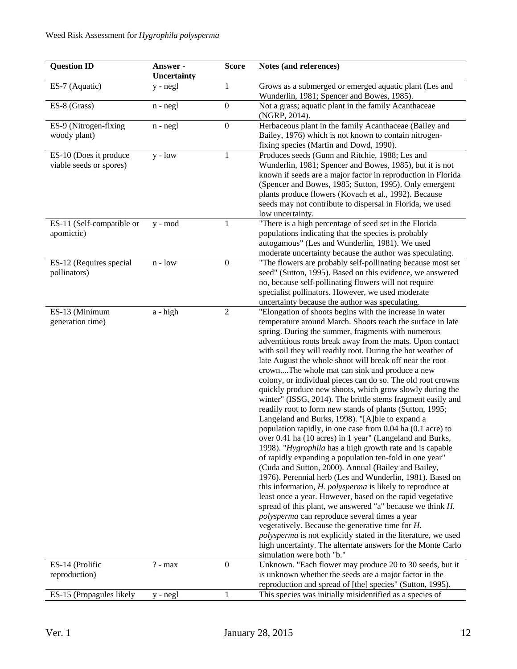| <b>Question ID</b>                                | Answer -<br>Uncertainty | <b>Score</b>     | Notes (and references)                                                                                                                                                                                                                                                                                                                                                                                                                                                                                                                                                                                                                                                                                                                                                                                                                                                                                                                                                                                                                                                                                                                                                                                                                                                                                                                                                                                                                                                                                                                                                 |
|---------------------------------------------------|-------------------------|------------------|------------------------------------------------------------------------------------------------------------------------------------------------------------------------------------------------------------------------------------------------------------------------------------------------------------------------------------------------------------------------------------------------------------------------------------------------------------------------------------------------------------------------------------------------------------------------------------------------------------------------------------------------------------------------------------------------------------------------------------------------------------------------------------------------------------------------------------------------------------------------------------------------------------------------------------------------------------------------------------------------------------------------------------------------------------------------------------------------------------------------------------------------------------------------------------------------------------------------------------------------------------------------------------------------------------------------------------------------------------------------------------------------------------------------------------------------------------------------------------------------------------------------------------------------------------------------|
| ES-7 (Aquatic)                                    | $y - negl$              | 1                | Grows as a submerged or emerged aquatic plant (Les and<br>Wunderlin, 1981; Spencer and Bowes, 1985).                                                                                                                                                                                                                                                                                                                                                                                                                                                                                                                                                                                                                                                                                                                                                                                                                                                                                                                                                                                                                                                                                                                                                                                                                                                                                                                                                                                                                                                                   |
| ES-8 (Grass)                                      | $n - negl$              | $\boldsymbol{0}$ | Not a grass; aquatic plant in the family Acanthaceae<br>(NGRP, 2014).                                                                                                                                                                                                                                                                                                                                                                                                                                                                                                                                                                                                                                                                                                                                                                                                                                                                                                                                                                                                                                                                                                                                                                                                                                                                                                                                                                                                                                                                                                  |
| ES-9 (Nitrogen-fixing<br>woody plant)             | $n - negl$              | $\boldsymbol{0}$ | Herbaceous plant in the family Acanthaceae (Bailey and<br>Bailey, 1976) which is not known to contain nitrogen-<br>fixing species (Martin and Dowd, 1990).                                                                                                                                                                                                                                                                                                                                                                                                                                                                                                                                                                                                                                                                                                                                                                                                                                                                                                                                                                                                                                                                                                                                                                                                                                                                                                                                                                                                             |
| ES-10 (Does it produce<br>viable seeds or spores) | $y - low$               | 1                | Produces seeds (Gunn and Ritchie, 1988; Les and<br>Wunderlin, 1981; Spencer and Bowes, 1985), but it is not<br>known if seeds are a major factor in reproduction in Florida<br>(Spencer and Bowes, 1985; Sutton, 1995). Only emergent<br>plants produce flowers (Kovach et al., 1992). Because<br>seeds may not contribute to dispersal in Florida, we used<br>low uncertainty.                                                                                                                                                                                                                                                                                                                                                                                                                                                                                                                                                                                                                                                                                                                                                                                                                                                                                                                                                                                                                                                                                                                                                                                        |
| ES-11 (Self-compatible or<br>apomictic)           | y - mod                 | $\mathbf{1}$     | "There is a high percentage of seed set in the Florida<br>populations indicating that the species is probably<br>autogamous" (Les and Wunderlin, 1981). We used<br>moderate uncertainty because the author was speculating.                                                                                                                                                                                                                                                                                                                                                                                                                                                                                                                                                                                                                                                                                                                                                                                                                                                                                                                                                                                                                                                                                                                                                                                                                                                                                                                                            |
| ES-12 (Requires special<br>pollinators)           | $n - low$               | $\boldsymbol{0}$ | "The flowers are probably self-pollinating because most set<br>seed" (Sutton, 1995). Based on this evidence, we answered<br>no, because self-pollinating flowers will not require<br>specialist pollinators. However, we used moderate<br>uncertainty because the author was speculating.                                                                                                                                                                                                                                                                                                                                                                                                                                                                                                                                                                                                                                                                                                                                                                                                                                                                                                                                                                                                                                                                                                                                                                                                                                                                              |
| ES-13 (Minimum<br>generation time)                | a - high                | $\overline{2}$   | "Elongation of shoots begins with the increase in water<br>temperature around March. Shoots reach the surface in late<br>spring. During the summer, fragments with numerous<br>adventitious roots break away from the mats. Upon contact<br>with soil they will readily root. During the hot weather of<br>late August the whole shoot will break off near the root<br>crownThe whole mat can sink and produce a new<br>colony, or individual pieces can do so. The old root crowns<br>quickly produce new shoots, which grow slowly during the<br>winter" (ISSG, 2014). The brittle stems fragment easily and<br>readily root to form new stands of plants (Sutton, 1995;<br>Langeland and Burks, 1998). "[A]ble to expand a<br>population rapidly, in one case from 0.04 ha (0.1 acre) to<br>over 0.41 ha (10 acres) in 1 year" (Langeland and Burks,<br>1998). "Hygrophila has a high growth rate and is capable<br>of rapidly expanding a population ten-fold in one year"<br>(Cuda and Sutton, 2000). Annual (Bailey and Bailey,<br>1976). Perennial herb (Les and Wunderlin, 1981). Based on<br>this information, <i>H. polysperma</i> is likely to reproduce at<br>least once a year. However, based on the rapid vegetative<br>spread of this plant, we answered "a" because we think H.<br>polysperma can reproduce several times a year<br>vegetatively. Because the generative time for $H$ .<br>polysperma is not explicitly stated in the literature, we used<br>high uncertainty. The alternate answers for the Monte Carlo<br>simulation were both "b." |
| ES-14 (Prolific<br>reproduction)                  | $? - max$               | $\boldsymbol{0}$ | Unknown. "Each flower may produce 20 to 30 seeds, but it<br>is unknown whether the seeds are a major factor in the<br>reproduction and spread of [the] species" (Sutton, 1995).                                                                                                                                                                                                                                                                                                                                                                                                                                                                                                                                                                                                                                                                                                                                                                                                                                                                                                                                                                                                                                                                                                                                                                                                                                                                                                                                                                                        |
| ES-15 (Propagules likely                          | y - negl                | $\mathbf{1}$     | This species was initially misidentified as a species of                                                                                                                                                                                                                                                                                                                                                                                                                                                                                                                                                                                                                                                                                                                                                                                                                                                                                                                                                                                                                                                                                                                                                                                                                                                                                                                                                                                                                                                                                                               |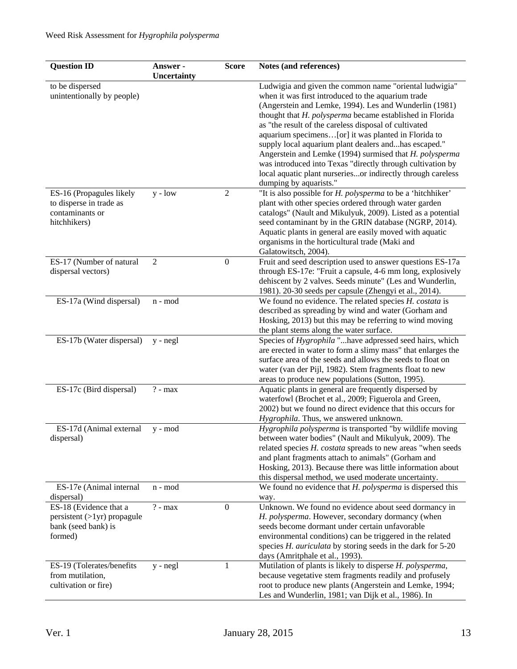| Ludwigia and given the common name "oriental ludwigia"<br>to be dispersed<br>unintentionally by people)<br>when it was first introduced to the aquarium trade<br>(Angerstein and Lemke, 1994). Les and Wunderlin (1981)<br>thought that H. polysperma became established in Florida<br>as "the result of the careless disposal of cultivated<br>aquarium specimens[or] it was planted in Florida to<br>supply local aquarium plant dealers andhas escaped."<br>Angerstein and Lemke (1994) surmised that H. polysperma<br>was introduced into Texas "directly through cultivation by<br>local aquatic plant nurseriesor indirectly through careless<br>dumping by aquarists."<br>$\sqrt{2}$<br>"It is also possible for <i>H. polysperma</i> to be a 'hitchhiker'<br>$y - low$<br>ES-16 (Propagules likely<br>plant with other species ordered through water garden<br>to disperse in trade as<br>contaminants or<br>catalogs" (Nault and Mikulyuk, 2009). Listed as a potential<br>seed contaminant by in the GRIN database (NGRP, 2014).<br>hitchhikers)<br>Aquatic plants in general are easily moved with aquatic<br>organisms in the horticultural trade (Maki and<br>Galatowitsch, 2004).<br>ES-17 (Number of natural<br>$\overline{2}$<br>$\boldsymbol{0}$<br>Fruit and seed description used to answer questions ES-17a<br>through ES-17e: "Fruit a capsule, 4-6 mm long, explosively<br>dispersal vectors)<br>dehiscent by 2 valves. Seeds minute" (Les and Wunderlin,<br>1981). 20-30 seeds per capsule (Zhengyi et al., 2014).<br>ES-17a (Wind dispersal)<br>We found no evidence. The related species H. costata is<br>n - mod<br>described as spreading by wind and water (Gorham and<br>Hosking, 2013) but this may be referring to wind moving<br>the plant stems along the water surface.<br>ES-17b (Water dispersal)<br>Species of Hygrophila " have adpressed seed hairs, which<br>$y - negl$<br>are erected in water to form a slimy mass" that enlarges the<br>surface area of the seeds and allows the seeds to float on<br>water (van der Pijl, 1982). Stem fragments float to new<br>areas to produce new populations (Sutton, 1995).<br>ES-17c (Bird dispersal)<br>$? - max$<br>Aquatic plants in general are frequently dispersed by<br>waterfowl (Brochet et al., 2009; Figuerola and Green,<br>2002) but we found no direct evidence that this occurs for | <b>Question ID</b> | Answer -    | <b>Score</b> | Notes (and references) |
|--------------------------------------------------------------------------------------------------------------------------------------------------------------------------------------------------------------------------------------------------------------------------------------------------------------------------------------------------------------------------------------------------------------------------------------------------------------------------------------------------------------------------------------------------------------------------------------------------------------------------------------------------------------------------------------------------------------------------------------------------------------------------------------------------------------------------------------------------------------------------------------------------------------------------------------------------------------------------------------------------------------------------------------------------------------------------------------------------------------------------------------------------------------------------------------------------------------------------------------------------------------------------------------------------------------------------------------------------------------------------------------------------------------------------------------------------------------------------------------------------------------------------------------------------------------------------------------------------------------------------------------------------------------------------------------------------------------------------------------------------------------------------------------------------------------------------------------------------------------------------------------------------------------------------------------------------------------------------------------------------------------------------------------------------------------------------------------------------------------------------------------------------------------------------------------------------------------------------------------------------------------------------------------------------------------------------------------------------------------------------------------|--------------------|-------------|--------------|------------------------|
|                                                                                                                                                                                                                                                                                                                                                                                                                                                                                                                                                                                                                                                                                                                                                                                                                                                                                                                                                                                                                                                                                                                                                                                                                                                                                                                                                                                                                                                                                                                                                                                                                                                                                                                                                                                                                                                                                                                                                                                                                                                                                                                                                                                                                                                                                                                                                                                      |                    | Uncertainty |              |                        |
|                                                                                                                                                                                                                                                                                                                                                                                                                                                                                                                                                                                                                                                                                                                                                                                                                                                                                                                                                                                                                                                                                                                                                                                                                                                                                                                                                                                                                                                                                                                                                                                                                                                                                                                                                                                                                                                                                                                                                                                                                                                                                                                                                                                                                                                                                                                                                                                      |                    |             |              |                        |
|                                                                                                                                                                                                                                                                                                                                                                                                                                                                                                                                                                                                                                                                                                                                                                                                                                                                                                                                                                                                                                                                                                                                                                                                                                                                                                                                                                                                                                                                                                                                                                                                                                                                                                                                                                                                                                                                                                                                                                                                                                                                                                                                                                                                                                                                                                                                                                                      |                    |             |              |                        |
|                                                                                                                                                                                                                                                                                                                                                                                                                                                                                                                                                                                                                                                                                                                                                                                                                                                                                                                                                                                                                                                                                                                                                                                                                                                                                                                                                                                                                                                                                                                                                                                                                                                                                                                                                                                                                                                                                                                                                                                                                                                                                                                                                                                                                                                                                                                                                                                      |                    |             |              |                        |
|                                                                                                                                                                                                                                                                                                                                                                                                                                                                                                                                                                                                                                                                                                                                                                                                                                                                                                                                                                                                                                                                                                                                                                                                                                                                                                                                                                                                                                                                                                                                                                                                                                                                                                                                                                                                                                                                                                                                                                                                                                                                                                                                                                                                                                                                                                                                                                                      |                    |             |              |                        |
|                                                                                                                                                                                                                                                                                                                                                                                                                                                                                                                                                                                                                                                                                                                                                                                                                                                                                                                                                                                                                                                                                                                                                                                                                                                                                                                                                                                                                                                                                                                                                                                                                                                                                                                                                                                                                                                                                                                                                                                                                                                                                                                                                                                                                                                                                                                                                                                      |                    |             |              |                        |
|                                                                                                                                                                                                                                                                                                                                                                                                                                                                                                                                                                                                                                                                                                                                                                                                                                                                                                                                                                                                                                                                                                                                                                                                                                                                                                                                                                                                                                                                                                                                                                                                                                                                                                                                                                                                                                                                                                                                                                                                                                                                                                                                                                                                                                                                                                                                                                                      |                    |             |              |                        |
|                                                                                                                                                                                                                                                                                                                                                                                                                                                                                                                                                                                                                                                                                                                                                                                                                                                                                                                                                                                                                                                                                                                                                                                                                                                                                                                                                                                                                                                                                                                                                                                                                                                                                                                                                                                                                                                                                                                                                                                                                                                                                                                                                                                                                                                                                                                                                                                      |                    |             |              |                        |
|                                                                                                                                                                                                                                                                                                                                                                                                                                                                                                                                                                                                                                                                                                                                                                                                                                                                                                                                                                                                                                                                                                                                                                                                                                                                                                                                                                                                                                                                                                                                                                                                                                                                                                                                                                                                                                                                                                                                                                                                                                                                                                                                                                                                                                                                                                                                                                                      |                    |             |              |                        |
|                                                                                                                                                                                                                                                                                                                                                                                                                                                                                                                                                                                                                                                                                                                                                                                                                                                                                                                                                                                                                                                                                                                                                                                                                                                                                                                                                                                                                                                                                                                                                                                                                                                                                                                                                                                                                                                                                                                                                                                                                                                                                                                                                                                                                                                                                                                                                                                      |                    |             |              |                        |
|                                                                                                                                                                                                                                                                                                                                                                                                                                                                                                                                                                                                                                                                                                                                                                                                                                                                                                                                                                                                                                                                                                                                                                                                                                                                                                                                                                                                                                                                                                                                                                                                                                                                                                                                                                                                                                                                                                                                                                                                                                                                                                                                                                                                                                                                                                                                                                                      |                    |             |              |                        |
|                                                                                                                                                                                                                                                                                                                                                                                                                                                                                                                                                                                                                                                                                                                                                                                                                                                                                                                                                                                                                                                                                                                                                                                                                                                                                                                                                                                                                                                                                                                                                                                                                                                                                                                                                                                                                                                                                                                                                                                                                                                                                                                                                                                                                                                                                                                                                                                      |                    |             |              |                        |
|                                                                                                                                                                                                                                                                                                                                                                                                                                                                                                                                                                                                                                                                                                                                                                                                                                                                                                                                                                                                                                                                                                                                                                                                                                                                                                                                                                                                                                                                                                                                                                                                                                                                                                                                                                                                                                                                                                                                                                                                                                                                                                                                                                                                                                                                                                                                                                                      |                    |             |              |                        |
|                                                                                                                                                                                                                                                                                                                                                                                                                                                                                                                                                                                                                                                                                                                                                                                                                                                                                                                                                                                                                                                                                                                                                                                                                                                                                                                                                                                                                                                                                                                                                                                                                                                                                                                                                                                                                                                                                                                                                                                                                                                                                                                                                                                                                                                                                                                                                                                      |                    |             |              |                        |
|                                                                                                                                                                                                                                                                                                                                                                                                                                                                                                                                                                                                                                                                                                                                                                                                                                                                                                                                                                                                                                                                                                                                                                                                                                                                                                                                                                                                                                                                                                                                                                                                                                                                                                                                                                                                                                                                                                                                                                                                                                                                                                                                                                                                                                                                                                                                                                                      |                    |             |              |                        |
|                                                                                                                                                                                                                                                                                                                                                                                                                                                                                                                                                                                                                                                                                                                                                                                                                                                                                                                                                                                                                                                                                                                                                                                                                                                                                                                                                                                                                                                                                                                                                                                                                                                                                                                                                                                                                                                                                                                                                                                                                                                                                                                                                                                                                                                                                                                                                                                      |                    |             |              |                        |
|                                                                                                                                                                                                                                                                                                                                                                                                                                                                                                                                                                                                                                                                                                                                                                                                                                                                                                                                                                                                                                                                                                                                                                                                                                                                                                                                                                                                                                                                                                                                                                                                                                                                                                                                                                                                                                                                                                                                                                                                                                                                                                                                                                                                                                                                                                                                                                                      |                    |             |              |                        |
|                                                                                                                                                                                                                                                                                                                                                                                                                                                                                                                                                                                                                                                                                                                                                                                                                                                                                                                                                                                                                                                                                                                                                                                                                                                                                                                                                                                                                                                                                                                                                                                                                                                                                                                                                                                                                                                                                                                                                                                                                                                                                                                                                                                                                                                                                                                                                                                      |                    |             |              |                        |
|                                                                                                                                                                                                                                                                                                                                                                                                                                                                                                                                                                                                                                                                                                                                                                                                                                                                                                                                                                                                                                                                                                                                                                                                                                                                                                                                                                                                                                                                                                                                                                                                                                                                                                                                                                                                                                                                                                                                                                                                                                                                                                                                                                                                                                                                                                                                                                                      |                    |             |              |                        |
|                                                                                                                                                                                                                                                                                                                                                                                                                                                                                                                                                                                                                                                                                                                                                                                                                                                                                                                                                                                                                                                                                                                                                                                                                                                                                                                                                                                                                                                                                                                                                                                                                                                                                                                                                                                                                                                                                                                                                                                                                                                                                                                                                                                                                                                                                                                                                                                      |                    |             |              |                        |
|                                                                                                                                                                                                                                                                                                                                                                                                                                                                                                                                                                                                                                                                                                                                                                                                                                                                                                                                                                                                                                                                                                                                                                                                                                                                                                                                                                                                                                                                                                                                                                                                                                                                                                                                                                                                                                                                                                                                                                                                                                                                                                                                                                                                                                                                                                                                                                                      |                    |             |              |                        |
|                                                                                                                                                                                                                                                                                                                                                                                                                                                                                                                                                                                                                                                                                                                                                                                                                                                                                                                                                                                                                                                                                                                                                                                                                                                                                                                                                                                                                                                                                                                                                                                                                                                                                                                                                                                                                                                                                                                                                                                                                                                                                                                                                                                                                                                                                                                                                                                      |                    |             |              |                        |
|                                                                                                                                                                                                                                                                                                                                                                                                                                                                                                                                                                                                                                                                                                                                                                                                                                                                                                                                                                                                                                                                                                                                                                                                                                                                                                                                                                                                                                                                                                                                                                                                                                                                                                                                                                                                                                                                                                                                                                                                                                                                                                                                                                                                                                                                                                                                                                                      |                    |             |              |                        |
|                                                                                                                                                                                                                                                                                                                                                                                                                                                                                                                                                                                                                                                                                                                                                                                                                                                                                                                                                                                                                                                                                                                                                                                                                                                                                                                                                                                                                                                                                                                                                                                                                                                                                                                                                                                                                                                                                                                                                                                                                                                                                                                                                                                                                                                                                                                                                                                      |                    |             |              |                        |
|                                                                                                                                                                                                                                                                                                                                                                                                                                                                                                                                                                                                                                                                                                                                                                                                                                                                                                                                                                                                                                                                                                                                                                                                                                                                                                                                                                                                                                                                                                                                                                                                                                                                                                                                                                                                                                                                                                                                                                                                                                                                                                                                                                                                                                                                                                                                                                                      |                    |             |              |                        |
|                                                                                                                                                                                                                                                                                                                                                                                                                                                                                                                                                                                                                                                                                                                                                                                                                                                                                                                                                                                                                                                                                                                                                                                                                                                                                                                                                                                                                                                                                                                                                                                                                                                                                                                                                                                                                                                                                                                                                                                                                                                                                                                                                                                                                                                                                                                                                                                      |                    |             |              |                        |
|                                                                                                                                                                                                                                                                                                                                                                                                                                                                                                                                                                                                                                                                                                                                                                                                                                                                                                                                                                                                                                                                                                                                                                                                                                                                                                                                                                                                                                                                                                                                                                                                                                                                                                                                                                                                                                                                                                                                                                                                                                                                                                                                                                                                                                                                                                                                                                                      |                    |             |              |                        |
|                                                                                                                                                                                                                                                                                                                                                                                                                                                                                                                                                                                                                                                                                                                                                                                                                                                                                                                                                                                                                                                                                                                                                                                                                                                                                                                                                                                                                                                                                                                                                                                                                                                                                                                                                                                                                                                                                                                                                                                                                                                                                                                                                                                                                                                                                                                                                                                      |                    |             |              |                        |
|                                                                                                                                                                                                                                                                                                                                                                                                                                                                                                                                                                                                                                                                                                                                                                                                                                                                                                                                                                                                                                                                                                                                                                                                                                                                                                                                                                                                                                                                                                                                                                                                                                                                                                                                                                                                                                                                                                                                                                                                                                                                                                                                                                                                                                                                                                                                                                                      |                    |             |              |                        |
|                                                                                                                                                                                                                                                                                                                                                                                                                                                                                                                                                                                                                                                                                                                                                                                                                                                                                                                                                                                                                                                                                                                                                                                                                                                                                                                                                                                                                                                                                                                                                                                                                                                                                                                                                                                                                                                                                                                                                                                                                                                                                                                                                                                                                                                                                                                                                                                      |                    |             |              |                        |
|                                                                                                                                                                                                                                                                                                                                                                                                                                                                                                                                                                                                                                                                                                                                                                                                                                                                                                                                                                                                                                                                                                                                                                                                                                                                                                                                                                                                                                                                                                                                                                                                                                                                                                                                                                                                                                                                                                                                                                                                                                                                                                                                                                                                                                                                                                                                                                                      |                    |             |              |                        |
|                                                                                                                                                                                                                                                                                                                                                                                                                                                                                                                                                                                                                                                                                                                                                                                                                                                                                                                                                                                                                                                                                                                                                                                                                                                                                                                                                                                                                                                                                                                                                                                                                                                                                                                                                                                                                                                                                                                                                                                                                                                                                                                                                                                                                                                                                                                                                                                      |                    |             |              |                        |
|                                                                                                                                                                                                                                                                                                                                                                                                                                                                                                                                                                                                                                                                                                                                                                                                                                                                                                                                                                                                                                                                                                                                                                                                                                                                                                                                                                                                                                                                                                                                                                                                                                                                                                                                                                                                                                                                                                                                                                                                                                                                                                                                                                                                                                                                                                                                                                                      |                    |             |              |                        |
|                                                                                                                                                                                                                                                                                                                                                                                                                                                                                                                                                                                                                                                                                                                                                                                                                                                                                                                                                                                                                                                                                                                                                                                                                                                                                                                                                                                                                                                                                                                                                                                                                                                                                                                                                                                                                                                                                                                                                                                                                                                                                                                                                                                                                                                                                                                                                                                      |                    |             |              |                        |
| Hygrophila. Thus, we answered unknown.                                                                                                                                                                                                                                                                                                                                                                                                                                                                                                                                                                                                                                                                                                                                                                                                                                                                                                                                                                                                                                                                                                                                                                                                                                                                                                                                                                                                                                                                                                                                                                                                                                                                                                                                                                                                                                                                                                                                                                                                                                                                                                                                                                                                                                                                                                                                               |                    |             |              |                        |
| ES-17d (Animal external<br>Hygrophila polysperma is transported "by wildlife moving<br>$y - mod$                                                                                                                                                                                                                                                                                                                                                                                                                                                                                                                                                                                                                                                                                                                                                                                                                                                                                                                                                                                                                                                                                                                                                                                                                                                                                                                                                                                                                                                                                                                                                                                                                                                                                                                                                                                                                                                                                                                                                                                                                                                                                                                                                                                                                                                                                     |                    |             |              |                        |
| between water bodies" (Nault and Mikulyuk, 2009). The<br>dispersal)                                                                                                                                                                                                                                                                                                                                                                                                                                                                                                                                                                                                                                                                                                                                                                                                                                                                                                                                                                                                                                                                                                                                                                                                                                                                                                                                                                                                                                                                                                                                                                                                                                                                                                                                                                                                                                                                                                                                                                                                                                                                                                                                                                                                                                                                                                                  |                    |             |              |                        |
| related species H. costata spreads to new areas "when seeds                                                                                                                                                                                                                                                                                                                                                                                                                                                                                                                                                                                                                                                                                                                                                                                                                                                                                                                                                                                                                                                                                                                                                                                                                                                                                                                                                                                                                                                                                                                                                                                                                                                                                                                                                                                                                                                                                                                                                                                                                                                                                                                                                                                                                                                                                                                          |                    |             |              |                        |
| and plant fragments attach to animals" (Gorham and                                                                                                                                                                                                                                                                                                                                                                                                                                                                                                                                                                                                                                                                                                                                                                                                                                                                                                                                                                                                                                                                                                                                                                                                                                                                                                                                                                                                                                                                                                                                                                                                                                                                                                                                                                                                                                                                                                                                                                                                                                                                                                                                                                                                                                                                                                                                   |                    |             |              |                        |
| Hosking, 2013). Because there was little information about                                                                                                                                                                                                                                                                                                                                                                                                                                                                                                                                                                                                                                                                                                                                                                                                                                                                                                                                                                                                                                                                                                                                                                                                                                                                                                                                                                                                                                                                                                                                                                                                                                                                                                                                                                                                                                                                                                                                                                                                                                                                                                                                                                                                                                                                                                                           |                    |             |              |                        |
| this dispersal method, we used moderate uncertainty.                                                                                                                                                                                                                                                                                                                                                                                                                                                                                                                                                                                                                                                                                                                                                                                                                                                                                                                                                                                                                                                                                                                                                                                                                                                                                                                                                                                                                                                                                                                                                                                                                                                                                                                                                                                                                                                                                                                                                                                                                                                                                                                                                                                                                                                                                                                                 |                    |             |              |                        |
| ES-17e (Animal internal<br>We found no evidence that $H.$ polysperma is dispersed this<br>n - mod                                                                                                                                                                                                                                                                                                                                                                                                                                                                                                                                                                                                                                                                                                                                                                                                                                                                                                                                                                                                                                                                                                                                                                                                                                                                                                                                                                                                                                                                                                                                                                                                                                                                                                                                                                                                                                                                                                                                                                                                                                                                                                                                                                                                                                                                                    |                    |             |              |                        |
| dispersal)<br>way.                                                                                                                                                                                                                                                                                                                                                                                                                                                                                                                                                                                                                                                                                                                                                                                                                                                                                                                                                                                                                                                                                                                                                                                                                                                                                                                                                                                                                                                                                                                                                                                                                                                                                                                                                                                                                                                                                                                                                                                                                                                                                                                                                                                                                                                                                                                                                                   |                    |             |              |                        |
| Unknown. We found no evidence about seed dormancy in<br>ES-18 (Evidence that a<br>$\boldsymbol{0}$<br>$? - max$                                                                                                                                                                                                                                                                                                                                                                                                                                                                                                                                                                                                                                                                                                                                                                                                                                                                                                                                                                                                                                                                                                                                                                                                                                                                                                                                                                                                                                                                                                                                                                                                                                                                                                                                                                                                                                                                                                                                                                                                                                                                                                                                                                                                                                                                      |                    |             |              |                        |
| $persistent (>1yr)$ propagule<br>H. polysperma. However, secondary dormancy (when                                                                                                                                                                                                                                                                                                                                                                                                                                                                                                                                                                                                                                                                                                                                                                                                                                                                                                                                                                                                                                                                                                                                                                                                                                                                                                                                                                                                                                                                                                                                                                                                                                                                                                                                                                                                                                                                                                                                                                                                                                                                                                                                                                                                                                                                                                    |                    |             |              |                        |
| seeds become dormant under certain unfavorable<br>bank (seed bank) is                                                                                                                                                                                                                                                                                                                                                                                                                                                                                                                                                                                                                                                                                                                                                                                                                                                                                                                                                                                                                                                                                                                                                                                                                                                                                                                                                                                                                                                                                                                                                                                                                                                                                                                                                                                                                                                                                                                                                                                                                                                                                                                                                                                                                                                                                                                |                    |             |              |                        |
| environmental conditions) can be triggered in the related<br>formed)                                                                                                                                                                                                                                                                                                                                                                                                                                                                                                                                                                                                                                                                                                                                                                                                                                                                                                                                                                                                                                                                                                                                                                                                                                                                                                                                                                                                                                                                                                                                                                                                                                                                                                                                                                                                                                                                                                                                                                                                                                                                                                                                                                                                                                                                                                                 |                    |             |              |                        |
| species H. auriculata by storing seeds in the dark for 5-20                                                                                                                                                                                                                                                                                                                                                                                                                                                                                                                                                                                                                                                                                                                                                                                                                                                                                                                                                                                                                                                                                                                                                                                                                                                                                                                                                                                                                                                                                                                                                                                                                                                                                                                                                                                                                                                                                                                                                                                                                                                                                                                                                                                                                                                                                                                          |                    |             |              |                        |
| days (Amritphale et al., 1993).                                                                                                                                                                                                                                                                                                                                                                                                                                                                                                                                                                                                                                                                                                                                                                                                                                                                                                                                                                                                                                                                                                                                                                                                                                                                                                                                                                                                                                                                                                                                                                                                                                                                                                                                                                                                                                                                                                                                                                                                                                                                                                                                                                                                                                                                                                                                                      |                    |             |              |                        |
| ES-19 (Tolerates/benefits<br>1<br>Mutilation of plants is likely to disperse H. polysperma,<br>$y - negl$<br>from mutilation,                                                                                                                                                                                                                                                                                                                                                                                                                                                                                                                                                                                                                                                                                                                                                                                                                                                                                                                                                                                                                                                                                                                                                                                                                                                                                                                                                                                                                                                                                                                                                                                                                                                                                                                                                                                                                                                                                                                                                                                                                                                                                                                                                                                                                                                        |                    |             |              |                        |
| because vegetative stem fragments readily and profusely<br>cultivation or fire)<br>root to produce new plants (Angerstein and Lemke, 1994;                                                                                                                                                                                                                                                                                                                                                                                                                                                                                                                                                                                                                                                                                                                                                                                                                                                                                                                                                                                                                                                                                                                                                                                                                                                                                                                                                                                                                                                                                                                                                                                                                                                                                                                                                                                                                                                                                                                                                                                                                                                                                                                                                                                                                                           |                    |             |              |                        |
| Les and Wunderlin, 1981; van Dijk et al., 1986). In                                                                                                                                                                                                                                                                                                                                                                                                                                                                                                                                                                                                                                                                                                                                                                                                                                                                                                                                                                                                                                                                                                                                                                                                                                                                                                                                                                                                                                                                                                                                                                                                                                                                                                                                                                                                                                                                                                                                                                                                                                                                                                                                                                                                                                                                                                                                  |                    |             |              |                        |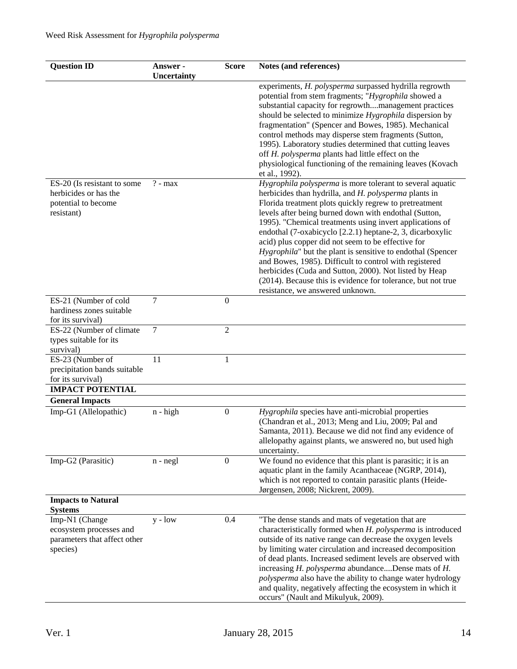| <b>Question ID</b>                                                                        | Answer -<br><b>Uncertainty</b> | <b>Score</b>     | Notes (and references)                                                                                                                                                                                                                                                                                                                                                                                                                                                                                                                                                                                                                                                                                      |
|-------------------------------------------------------------------------------------------|--------------------------------|------------------|-------------------------------------------------------------------------------------------------------------------------------------------------------------------------------------------------------------------------------------------------------------------------------------------------------------------------------------------------------------------------------------------------------------------------------------------------------------------------------------------------------------------------------------------------------------------------------------------------------------------------------------------------------------------------------------------------------------|
|                                                                                           |                                |                  | experiments, H. polysperma surpassed hydrilla regrowth<br>potential from stem fragments; "Hygrophila showed a<br>substantial capacity for regrowthmanagement practices<br>should be selected to minimize Hygrophila dispersion by<br>fragmentation" (Spencer and Bowes, 1985). Mechanical<br>control methods may disperse stem fragments (Sutton,<br>1995). Laboratory studies determined that cutting leaves<br>off H. polysperma plants had little effect on the<br>physiological functioning of the remaining leaves (Kovach<br>et al., 1992).                                                                                                                                                           |
| ES-20 (Is resistant to some<br>herbicides or has the<br>potential to become<br>resistant) | $? - max$                      |                  | Hygrophila polysperma is more tolerant to several aquatic<br>herbicides than hydrilla, and H. polysperma plants in<br>Florida treatment plots quickly regrew to pretreatment<br>levels after being burned down with endothal (Sutton,<br>1995). "Chemical treatments using invert applications of<br>endothal (7-oxabicyclo [2.2.1) heptane-2, 3, dicarboxylic<br>acid) plus copper did not seem to be effective for<br>Hygrophila" but the plant is sensitive to endothal (Spencer<br>and Bowes, 1985). Difficult to control with registered<br>herbicides (Cuda and Sutton, 2000). Not listed by Heap<br>(2014). Because this is evidence for tolerance, but not true<br>resistance, we answered unknown. |
| ES-21 (Number of cold<br>hardiness zones suitable<br>for its survival)                    | $\tau$                         | $\boldsymbol{0}$ |                                                                                                                                                                                                                                                                                                                                                                                                                                                                                                                                                                                                                                                                                                             |
| ES-22 (Number of climate<br>types suitable for its<br>survival)                           | $\overline{7}$                 | $\overline{2}$   |                                                                                                                                                                                                                                                                                                                                                                                                                                                                                                                                                                                                                                                                                                             |
| ES-23 (Number of<br>precipitation bands suitable<br>for its survival)                     | 11                             | 1                |                                                                                                                                                                                                                                                                                                                                                                                                                                                                                                                                                                                                                                                                                                             |
| <b>IMPACT POTENTIAL</b>                                                                   |                                |                  |                                                                                                                                                                                                                                                                                                                                                                                                                                                                                                                                                                                                                                                                                                             |
| <b>General Impacts</b><br>Imp-G1 (Allelopathic)                                           | $n - high$                     | $\boldsymbol{0}$ | Hygrophila species have anti-microbial properties<br>(Chandran et al., 2013; Meng and Liu, 2009; Pal and<br>Samanta, 2011). Because we did not find any evidence of<br>allelopathy against plants, we answered no, but used high<br>uncertainty.                                                                                                                                                                                                                                                                                                                                                                                                                                                            |
| Imp-G2 (Parasitic)                                                                        | $n - negl$                     | $\boldsymbol{0}$ | We found no evidence that this plant is parasitic; it is an<br>aquatic plant in the family Acanthaceae (NGRP, 2014),<br>which is not reported to contain parasitic plants (Heide-<br>Jørgensen, 2008; Nickrent, 2009).                                                                                                                                                                                                                                                                                                                                                                                                                                                                                      |
| <b>Impacts to Natural</b><br><b>Systems</b>                                               |                                |                  |                                                                                                                                                                                                                                                                                                                                                                                                                                                                                                                                                                                                                                                                                                             |
| Imp-N1 (Change<br>ecosystem processes and<br>parameters that affect other<br>species)     | $y - low$                      | 0.4              | "The dense stands and mats of vegetation that are<br>characteristically formed when H. polysperma is introduced<br>outside of its native range can decrease the oxygen levels<br>by limiting water circulation and increased decomposition<br>of dead plants. Increased sediment levels are observed with<br>increasing H. polysperma abundanceDense mats of H.<br>polysperma also have the ability to change water hydrology<br>and quality, negatively affecting the ecosystem in which it<br>occurs" (Nault and Mikulyuk, 2009).                                                                                                                                                                         |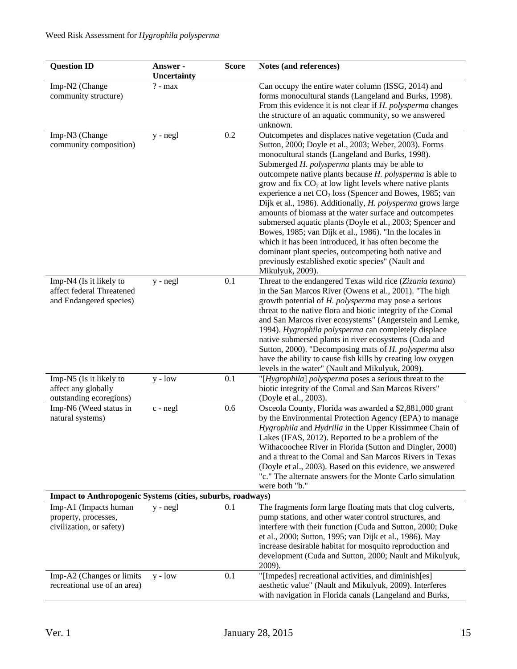| <b>Question ID</b>                                                 | Answer -    | <b>Score</b> | Notes (and references)                                                                                                 |
|--------------------------------------------------------------------|-------------|--------------|------------------------------------------------------------------------------------------------------------------------|
|                                                                    | Uncertainty |              |                                                                                                                        |
| Imp-N2 (Change                                                     | $? - max$   |              | Can occupy the entire water column (ISSG, 2014) and                                                                    |
| community structure)                                               |             |              | forms monocultural stands (Langeland and Burks, 1998).                                                                 |
|                                                                    |             |              | From this evidence it is not clear if H. polysperma changes                                                            |
|                                                                    |             |              | the structure of an aquatic community, so we answered<br>unknown.                                                      |
| Imp-N3 (Change                                                     | y - negl    | 0.2          | Outcompetes and displaces native vegetation (Cuda and                                                                  |
| community composition)                                             |             |              | Sutton, 2000; Doyle et al., 2003; Weber, 2003). Forms                                                                  |
|                                                                    |             |              | monocultural stands (Langeland and Burks, 1998).                                                                       |
|                                                                    |             |              | Submerged H. polysperma plants may be able to                                                                          |
|                                                                    |             |              | outcompete native plants because H. polysperma is able to                                                              |
|                                                                    |             |              | grow and fix $CO2$ at low light levels where native plants                                                             |
|                                                                    |             |              | experience a net $CO2$ loss (Spencer and Bowes, 1985; van                                                              |
|                                                                    |             |              | Dijk et al., 1986). Additionally, H. polysperma grows large                                                            |
|                                                                    |             |              | amounts of biomass at the water surface and outcompetes                                                                |
|                                                                    |             |              | submersed aquatic plants (Doyle et al., 2003; Spencer and                                                              |
|                                                                    |             |              | Bowes, 1985; van Dijk et al., 1986). "In the locales in                                                                |
|                                                                    |             |              | which it has been introduced, it has often become the                                                                  |
|                                                                    |             |              | dominant plant species, outcompeting both native and<br>previously established exotic species" (Nault and              |
|                                                                    |             |              | Mikulyuk, 2009).                                                                                                       |
| Imp-N4 (Is it likely to                                            | $y - negl$  | 0.1          | Threat to the endangered Texas wild rice (Zizania texana)                                                              |
| affect federal Threatened                                          |             |              | in the San Marcos River (Owens et al., 2001). "The high                                                                |
| and Endangered species)                                            |             |              | growth potential of H. polysperma may pose a serious                                                                   |
|                                                                    |             |              | threat to the native flora and biotic integrity of the Comal                                                           |
|                                                                    |             |              | and San Marcos river ecosystems" (Angerstein and Lemke,                                                                |
|                                                                    |             |              | 1994). Hygrophila polysperma can completely displace                                                                   |
|                                                                    |             |              | native submersed plants in river ecosystems (Cuda and                                                                  |
|                                                                    |             |              | Sutton, 2000). "Decomposing mats of H. polysperma also                                                                 |
|                                                                    |             |              | have the ability to cause fish kills by creating low oxygen<br>levels in the water" (Nault and Mikulyuk, 2009).        |
| Imp-N5 (Is it likely to                                            | $y - low$   | 0.1          | "[Hygrophila] polysperma poses a serious threat to the                                                                 |
| affect any globally                                                |             |              | biotic integrity of the Comal and San Marcos Rivers"                                                                   |
| outstanding ecoregions)                                            |             |              | (Doyle et al., 2003).                                                                                                  |
| Imp-N6 (Weed status in                                             | c - negl    | 0.6          | Osceola County, Florida was awarded a \$2,881,000 grant                                                                |
| natural systems)                                                   |             |              | by the Environmental Protection Agency (EPA) to manage                                                                 |
|                                                                    |             |              | Hygrophila and Hydrilla in the Upper Kissimmee Chain of                                                                |
|                                                                    |             |              | Lakes (IFAS, 2012). Reported to be a problem of the                                                                    |
|                                                                    |             |              | Withacoochee River in Florida (Sutton and Dingler, 2000)                                                               |
|                                                                    |             |              | and a threat to the Comal and San Marcos Rivers in Texas                                                               |
|                                                                    |             |              | (Doyle et al., 2003). Based on this evidence, we answered<br>"c." The alternate answers for the Monte Carlo simulation |
|                                                                    |             |              | were both "b."                                                                                                         |
| <b>Impact to Anthropogenic Systems (cities, suburbs, roadways)</b> |             |              |                                                                                                                        |
| Imp-A1 (Impacts human                                              | $y - negl$  | 0.1          | The fragments form large floating mats that clog culverts,                                                             |
| property, processes,                                               |             |              | pump stations, and other water control structures, and                                                                 |
| civilization, or safety)                                           |             |              | interfere with their function (Cuda and Sutton, 2000; Duke                                                             |
|                                                                    |             |              | et al., 2000; Sutton, 1995; van Dijk et al., 1986). May                                                                |
|                                                                    |             |              | increase desirable habitat for mosquito reproduction and                                                               |
|                                                                    |             |              | development (Cuda and Sutton, 2000; Nault and Mikulyuk,                                                                |
|                                                                    |             |              | 2009).                                                                                                                 |
| Imp-A2 (Changes or limits                                          | $y - low$   | 0.1          | "[Impedes] recreational activities, and diminish[es]                                                                   |
| recreational use of an area)                                       |             |              | aesthetic value" (Nault and Mikulyuk, 2009). Interferes                                                                |
|                                                                    |             |              | with navigation in Florida canals (Langeland and Burks,                                                                |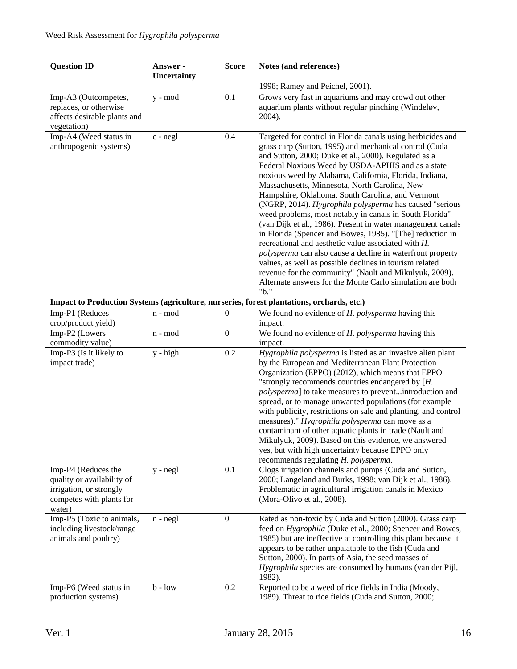| <b>Question ID</b>                                                                                                 | Answer -<br>Uncertainty | <b>Score</b>     | Notes (and references)                                                                                                                                                                                                                                                                                                                                                                                                                                                                                                                                                                                                                                                                                                                                                                                                                                                                                                                                             |
|--------------------------------------------------------------------------------------------------------------------|-------------------------|------------------|--------------------------------------------------------------------------------------------------------------------------------------------------------------------------------------------------------------------------------------------------------------------------------------------------------------------------------------------------------------------------------------------------------------------------------------------------------------------------------------------------------------------------------------------------------------------------------------------------------------------------------------------------------------------------------------------------------------------------------------------------------------------------------------------------------------------------------------------------------------------------------------------------------------------------------------------------------------------|
|                                                                                                                    |                         |                  | 1998; Ramey and Peichel, 2001).                                                                                                                                                                                                                                                                                                                                                                                                                                                                                                                                                                                                                                                                                                                                                                                                                                                                                                                                    |
| Imp-A3 (Outcompetes,<br>replaces, or otherwise<br>affects desirable plants and<br>vegetation)                      | y - mod                 | 0.1              | Grows very fast in aquariums and may crowd out other<br>aquarium plants without regular pinching (Windeløv,<br>2004).                                                                                                                                                                                                                                                                                                                                                                                                                                                                                                                                                                                                                                                                                                                                                                                                                                              |
| Imp-A4 (Weed status in<br>anthropogenic systems)                                                                   | c - negl                | 0.4              | Targeted for control in Florida canals using herbicides and<br>grass carp (Sutton, 1995) and mechanical control (Cuda<br>and Sutton, 2000; Duke et al., 2000). Regulated as a<br>Federal Noxious Weed by USDA-APHIS and as a state<br>noxious weed by Alabama, California, Florida, Indiana,<br>Massachusetts, Minnesota, North Carolina, New<br>Hampshire, Oklahoma, South Carolina, and Vermont<br>(NGRP, 2014). Hygrophila polysperma has caused "serious<br>weed problems, most notably in canals in South Florida"<br>(van Dijk et al., 1986). Present in water management canals<br>in Florida (Spencer and Bowes, 1985). "[The] reduction in<br>recreational and aesthetic value associated with H.<br>polysperma can also cause a decline in waterfront property<br>values, as well as possible declines in tourism related<br>revenue for the community" (Nault and Mikulyuk, 2009).<br>Alternate answers for the Monte Carlo simulation are both<br>"b." |
|                                                                                                                    |                         |                  | Impact to Production Systems (agriculture, nurseries, forest plantations, orchards, etc.)                                                                                                                                                                                                                                                                                                                                                                                                                                                                                                                                                                                                                                                                                                                                                                                                                                                                          |
| Imp-P1 (Reduces<br>crop/product yield)                                                                             | n - mod                 | $\boldsymbol{0}$ | We found no evidence of H. polysperma having this<br>impact.                                                                                                                                                                                                                                                                                                                                                                                                                                                                                                                                                                                                                                                                                                                                                                                                                                                                                                       |
| Imp-P2 (Lowers<br>commodity value)                                                                                 | n - mod                 | $\boldsymbol{0}$ | We found no evidence of H. polysperma having this<br>impact.                                                                                                                                                                                                                                                                                                                                                                                                                                                                                                                                                                                                                                                                                                                                                                                                                                                                                                       |
| Imp-P3 (Is it likely to<br>impact trade)                                                                           | $y - high$              | 0.2              | Hygrophila polysperma is listed as an invasive alien plant<br>by the European and Mediterranean Plant Protection<br>Organization (EPPO) (2012), which means that EPPO<br>"strongly recommends countries endangered by $[H]$ .<br>polysperma] to take measures to preventintroduction and<br>spread, or to manage unwanted populations (for example<br>with publicity, restrictions on sale and planting, and control<br>measures)." Hygrophila polysperma can move as a<br>contaminant of other aquatic plants in trade (Nault and<br>Mikulyuk, 2009). Based on this evidence, we answered<br>yes, but with high uncertainty because EPPO only<br>recommends regulating H. polysperma.                                                                                                                                                                                                                                                                             |
| Imp-P4 (Reduces the<br>quality or availability of<br>irrigation, or strongly<br>competes with plants for<br>water) | $y - negl$              | 0.1              | Clogs irrigation channels and pumps (Cuda and Sutton,<br>2000; Langeland and Burks, 1998; van Dijk et al., 1986).<br>Problematic in agricultural irrigation canals in Mexico<br>(Mora-Olivo et al., 2008).                                                                                                                                                                                                                                                                                                                                                                                                                                                                                                                                                                                                                                                                                                                                                         |
| Imp-P5 (Toxic to animals,<br>including livestock/range<br>animals and poultry)                                     | $n - negl$              | $\boldsymbol{0}$ | Rated as non-toxic by Cuda and Sutton (2000). Grass carp<br>feed on Hygrophila (Duke et al., 2000; Spencer and Bowes,<br>1985) but are ineffective at controlling this plant because it<br>appears to be rather unpalatable to the fish (Cuda and<br>Sutton, 2000). In parts of Asia, the seed masses of<br>Hygrophila species are consumed by humans (van der Pijl,<br>1982).                                                                                                                                                                                                                                                                                                                                                                                                                                                                                                                                                                                     |
| Imp-P6 (Weed status in<br>production systems)                                                                      | $b - low$               | 0.2              | Reported to be a weed of rice fields in India (Moody,<br>1989). Threat to rice fields (Cuda and Sutton, 2000;                                                                                                                                                                                                                                                                                                                                                                                                                                                                                                                                                                                                                                                                                                                                                                                                                                                      |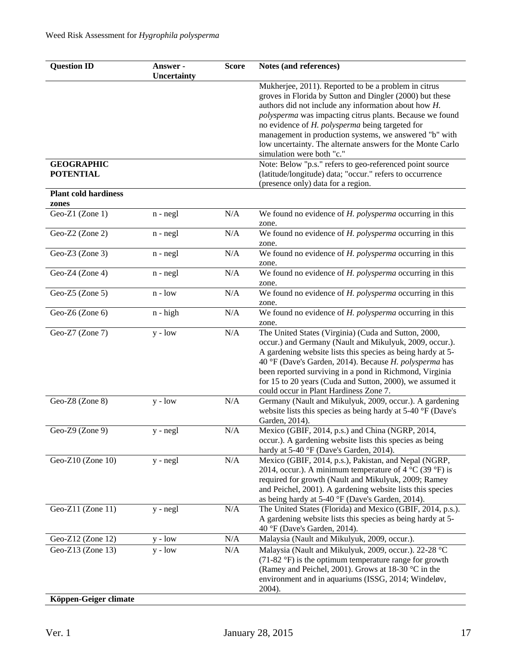| <b>Question ID</b>                         | Answer -<br>Uncertainty | <b>Score</b> | Notes (and references)                                                                                                                                                                                                                                                                                                                                                                                                                       |
|--------------------------------------------|-------------------------|--------------|----------------------------------------------------------------------------------------------------------------------------------------------------------------------------------------------------------------------------------------------------------------------------------------------------------------------------------------------------------------------------------------------------------------------------------------------|
|                                            |                         |              | Mukherjee, 2011). Reported to be a problem in citrus<br>groves in Florida by Sutton and Dingler (2000) but these<br>authors did not include any information about how H.<br>polysperma was impacting citrus plants. Because we found<br>no evidence of H. polysperma being targeted for<br>management in production systems, we answered "b" with<br>low uncertainty. The alternate answers for the Monte Carlo<br>simulation were both "c." |
| <b>GEOGRAPHIC</b><br><b>POTENTIAL</b>      |                         |              | Note: Below "p.s." refers to geo-referenced point source<br>(latitude/longitude) data; "occur." refers to occurrence<br>(presence only) data for a region.                                                                                                                                                                                                                                                                                   |
| <b>Plant cold hardiness</b><br>zones       |                         |              |                                                                                                                                                                                                                                                                                                                                                                                                                                              |
| Geo-Z1 (Zone 1)                            | $n - negl$              | N/A          | We found no evidence of H. polysperma occurring in this<br>zone.                                                                                                                                                                                                                                                                                                                                                                             |
| Geo-Z2 (Zone 2)                            | $n - negl$              | N/A          | We found no evidence of $H.$ polysperma occurring in this<br>zone.                                                                                                                                                                                                                                                                                                                                                                           |
| Geo-Z3 (Zone 3)                            | $n - negl$              | N/A          | We found no evidence of $H.$ polysperma occurring in this<br>zone.                                                                                                                                                                                                                                                                                                                                                                           |
| Geo-Z4 (Zone 4)                            | $n - negl$              | N/A          | We found no evidence of H. polysperma occurring in this<br>zone.                                                                                                                                                                                                                                                                                                                                                                             |
| Geo-Z5 (Zone 5)                            | $n - low$               | N/A          | We found no evidence of H. polysperma occurring in this<br>zone.                                                                                                                                                                                                                                                                                                                                                                             |
| Geo-Z6 (Zone 6)                            | $n - high$              | $\rm N/A$    | We found no evidence of H. polysperma occurring in this<br>zone.                                                                                                                                                                                                                                                                                                                                                                             |
| Geo-Z7 (Zone 7)                            | $y - low$               | $\rm N/A$    | The United States (Virginia) (Cuda and Sutton, 2000,<br>occur.) and Germany (Nault and Mikulyuk, 2009, occur.).<br>A gardening website lists this species as being hardy at 5-<br>40 °F (Dave's Garden, 2014). Because H. polysperma has<br>been reported surviving in a pond in Richmond, Virginia<br>for 15 to 20 years (Cuda and Sutton, 2000), we assumed it<br>could occur in Plant Hardiness Zone 7.                                   |
| Geo-Z8 (Zone 8)                            | $y - low$               | N/A          | Germany (Nault and Mikulyuk, 2009, occur.). A gardening<br>website lists this species as being hardy at 5-40 °F (Dave's<br>Garden, 2014).                                                                                                                                                                                                                                                                                                    |
| Geo-Z9 (Zone 9)                            | $y - negl$              | $\rm N/A$    | Mexico (GBIF, 2014, p.s.) and China (NGRP, 2014,<br>occur.). A gardening website lists this species as being<br>hardy at 5-40 °F (Dave's Garden, 2014).                                                                                                                                                                                                                                                                                      |
| Geo-Z $10$ (Zone $10$ )                    | $y - negl$              | N/A          | Mexico (GBIF, 2014, p.s.), Pakistan, and Nepal (NGRP,<br>2014, occur.). A minimum temperature of $4^{\circ}C$ (39 $^{\circ}F$ ) is<br>required for growth (Nault and Mikulyuk, 2009; Ramey<br>and Peichel, 2001). A gardening website lists this species<br>as being hardy at 5-40 °F (Dave's Garden, 2014).                                                                                                                                 |
| Geo-Z11 (Zone 11)                          | $y - negl$              | $\rm N/A$    | The United States (Florida) and Mexico (GBIF, 2014, p.s.).<br>A gardening website lists this species as being hardy at 5-<br>40 °F (Dave's Garden, 2014).                                                                                                                                                                                                                                                                                    |
| Geo-Z12 (Zone 12)                          | $y - low$               | N/A          | Malaysia (Nault and Mikulyuk, 2009, occur.).                                                                                                                                                                                                                                                                                                                                                                                                 |
| Geo-Z13 (Zone 13)<br>Köppen-Geiger climate | $y - low$               | N/A          | Malaysia (Nault and Mikulyuk, 2009, occur.). 22-28 °C<br>$(71-82 \text{ °F})$ is the optimum temperature range for growth<br>(Ramey and Peichel, 2001). Grows at 18-30 °C in the<br>environment and in aquariums (ISSG, 2014; Windeløv,<br>2004).                                                                                                                                                                                            |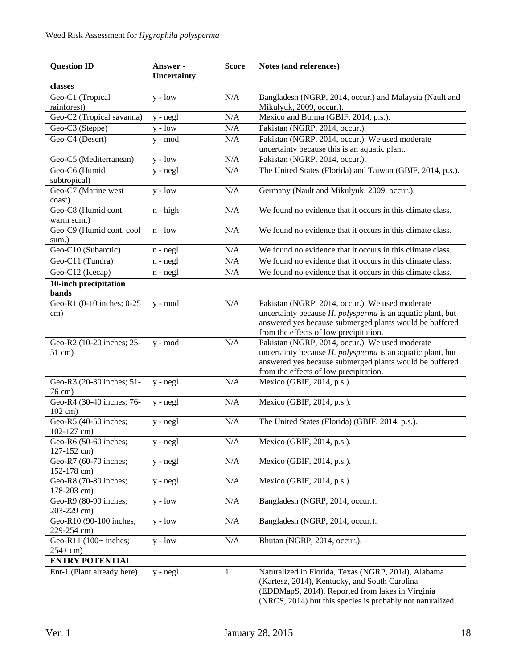| <b>Question ID</b>                   | Answer -    | <b>Score</b>     | Notes (and references)                                                              |
|--------------------------------------|-------------|------------------|-------------------------------------------------------------------------------------|
|                                      | Uncertainty |                  |                                                                                     |
| classes                              |             |                  |                                                                                     |
| Geo-C1 (Tropical<br>rainforest)      | $y - low$   | N/A              | Bangladesh (NGRP, 2014, occur.) and Malaysia (Nault and<br>Mikulyuk, 2009, occur.). |
| Geo-C2 (Tropical savanna)            | y - negl    | N/A              | Mexico and Burma (GBIF, 2014, p.s.).                                                |
| Geo-C3 (Steppe)                      | $y - low$   | N/A              | Pakistan (NGRP, 2014, occur.).                                                      |
| Geo-C4 (Desert)                      | y - mod     | N/A              | Pakistan (NGRP, 2014, occur.). We used moderate                                     |
|                                      |             |                  | uncertainty because this is an aquatic plant.                                       |
| Geo-C5 (Mediterranean)               | $y - low$   | N/A              | Pakistan (NGRP, 2014, occur.).                                                      |
| Geo-C6 (Humid                        | $y - negl$  | N/A              | The United States (Florida) and Taiwan (GBIF, 2014, p.s.).                          |
| subtropical)                         |             |                  |                                                                                     |
| Geo-C7 (Marine west<br>coast)        | $y - low$   | $\rm N/A$        | Germany (Nault and Mikulyuk, 2009, occur.).                                         |
| Geo-C8 (Humid cont.                  | $n - high$  | N/A              | We found no evidence that it occurs in this climate class.                          |
| warm sum.)                           |             |                  |                                                                                     |
| Geo-C9 (Humid cont. cool             | $n - low$   | N/A              | We found no evidence that it occurs in this climate class.                          |
| sum.)                                |             |                  |                                                                                     |
| Geo-C10 (Subarctic)                  | $n - negl$  | N/A              | We found no evidence that it occurs in this climate class.                          |
| Geo-C11 (Tundra)                     | $n - negl$  | $\rm N/A$        | We found no evidence that it occurs in this climate class.                          |
| Geo-C12 (Icecap)                     | $n - negl$  | N/A              | We found no evidence that it occurs in this climate class.                          |
| 10-inch precipitation                |             |                  |                                                                                     |
| bands                                |             |                  |                                                                                     |
| Geo-R1 (0-10 inches; 0-25            | $y - mod$   | N/A              | Pakistan (NGRP, 2014, occur.). We used moderate                                     |
| cm)                                  |             |                  | uncertainty because H. polysperma is an aquatic plant, but                          |
|                                      |             |                  | answered yes because submerged plants would be buffered                             |
|                                      |             |                  | from the effects of low precipitation.                                              |
| Geo-R2 (10-20 inches; 25-            | $y - mod$   | $\rm N/A$        | Pakistan (NGRP, 2014, occur.). We used moderate                                     |
| $51$ cm)                             |             |                  | uncertainty because H. polysperma is an aquatic plant, but                          |
|                                      |             |                  | answered yes because submerged plants would be buffered                             |
| Geo-R3 (20-30 inches; 51-            | $y - negl$  | $\rm N/A$        | from the effects of low precipitation.<br>Mexico (GBIF, 2014, p.s.).                |
| 76 cm)                               |             |                  |                                                                                     |
| Geo-R4 (30-40 inches; 76-            | $y - negl$  | N/A              | Mexico (GBIF, 2014, p.s.).                                                          |
| 102 cm)                              |             |                  |                                                                                     |
| Geo-R5 (40-50 inches;                | y - negl    | N/A              | The United States (Florida) (GBIF, 2014, p.s.).                                     |
| $102-127$ cm)                        |             |                  |                                                                                     |
| Geo-R6 (50-60 inches;                | $y - negl$  | N/A              | Mexico (GBIF, 2014, p.s.).                                                          |
| 127-152 cm)                          |             |                  |                                                                                     |
| Geo-R7 (60-70 inches;                | $y - negl$  | $\rm N/A$        | Mexico (GBIF, 2014, p.s.).                                                          |
| 152-178 cm)                          |             |                  |                                                                                     |
| Geo-R8 (70-80 inches;                | $y - negl$  | N/A              | Mexico (GBIF, 2014, p.s.).                                                          |
| 178-203 cm)<br>Geo-R9 (80-90 inches; | $y - low$   | $\overline{N}/A$ | Bangladesh (NGRP, 2014, occur.).                                                    |
| 203-229 cm)                          |             |                  |                                                                                     |
| Geo-R10 (90-100 inches;              | $y - low$   | N/A              | Bangladesh (NGRP, 2014, occur.).                                                    |
| 229-254 cm)                          |             |                  |                                                                                     |
| Geo-R11 (100+ inches;                | $y - low$   | N/A              | Bhutan (NGRP, 2014, occur.).                                                        |
| $254 + cm$                           |             |                  |                                                                                     |
| <b>ENTRY POTENTIAL</b>               |             |                  |                                                                                     |
| Ent-1 (Plant already here)           | $y - negl$  | $\mathbf{1}$     | Naturalized in Florida, Texas (NGRP, 2014), Alabama                                 |
|                                      |             |                  | (Kartesz, 2014), Kentucky, and South Carolina                                       |
|                                      |             |                  | (EDDMapS, 2014). Reported from lakes in Virginia                                    |
|                                      |             |                  | (NRCS, 2014) but this species is probably not naturalized                           |